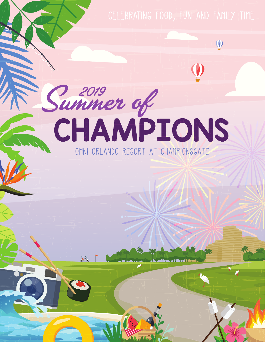